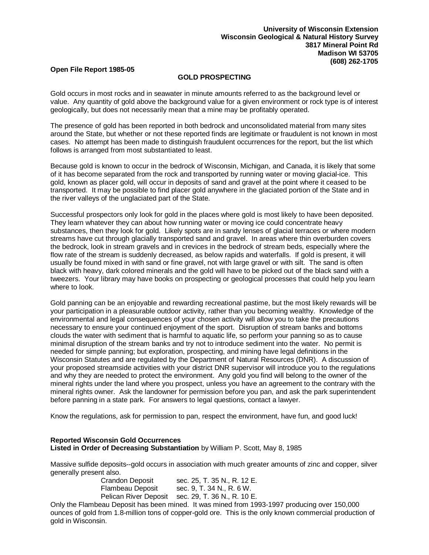## **Open File Report 1985-05**

## **GOLD PROSPECTING**

Gold occurs in most rocks and in seawater in minute amounts referred to as the background level or value. Any quantity of gold above the background value for a given environment or rock type is of interest geologically, but does not necessarily mean that a mine may be profitably operated.

The presence of gold has been reported in both bedrock and unconsolidated material from many sites around the State, but whether or not these reported finds are legitimate or fraudulent is not known in most cases. No attempt has been made to distinguish fraudulent occurrences for the report, but the list which follows is arranged from most substantiated to least.

Because gold is known to occur in the bedrock of Wisconsin, Michigan, and Canada, it is likely that some of it has become separated from the rock and transported by running water or moving glacial-ice. This gold, known as placer gold, will occur in deposits of sand and gravel at the point where it ceased to be transported. It may be possible to find placer gold anywhere in the glaciated portion of the State and in the river valleys of the unglaciated part of the State.

Successful prospectors only look for gold in the places where gold is most likely to have been deposited. They learn whatever they can about how running water or moving ice could concentrate heavy substances, then they look for gold. Likely spots are in sandy lenses of glacial terraces or where modern streams have cut through glacially transported sand and gravel. In areas where thin overburden covers the bedrock, look in stream gravels and in crevices in the bedrock of stream beds, especially where the flow rate of the stream is suddenly decreased, as below rapids and waterfalls. If gold is present, it will usually be found mixed in with sand or fine gravel, not with large gravel or with silt. The sand is often black with heavy, dark colored minerals and the gold will have to be picked out of the black sand with a tweezers. Your library may have books on prospecting or geological processes that could help you learn where to look.

Gold panning can be an enjoyable and rewarding recreational pastime, but the most likely rewards will be your participation in a pleasurable outdoor activity, rather than you becoming wealthy. Knowledge of the environmental and legal consequences of your chosen activity will allow you to take the precautions necessary to ensure your continued enjoyment of the sport. Disruption of stream banks and bottoms clouds the water with sediment that is harmful to aquatic life, so perform your panning so as to cause minimal disruption of the stream banks and try not to introduce sediment into the water. No permit is needed for simple panning; but exploration, prospecting, and mining have legal definitions in the Wisconsin Statutes and are regulated by the Department of Natural Resources (DNR). A discussion of your proposed streamside activities with your district DNR supervisor will introduce you to the regulations and why they are needed to protect the environment. Any gold you find will belong to the owner of the mineral rights under the land where you prospect, unless you have an agreement to the contrary with the mineral rights owner. Ask the landowner for permission before you pan, and ask the park superintendent before panning in a state park. For answers to legal questions, contact a lawyer.

Know the regulations, ask for permission to pan, respect the environment, have fun, and good luck!

## **Reported Wisconsin Gold Occurrences Listed in Order of Decreasing Substantiation** by William P. Scott, May 8, 1985

Massive sulfide deposits--gold occurs in association with much greater amounts of zinc and copper, silver generally present also.

| <b>Crandon Deposit</b> | sec. 25, T. 35 N., R. 12 E.                       |
|------------------------|---------------------------------------------------|
| Flambeau Deposit       | sec. 9, T. 34 N., R. 6 W.                         |
|                        | Pelican River Deposit sec. 29, T. 36 N., R. 10 E. |

Only the Flambeau Deposit has been mined. It was mined from 1993-1997 producing over 150,000 ounces of gold from 1.8-million tons of copper-gold ore. This is the only known commercial production of gold in Wisconsin.